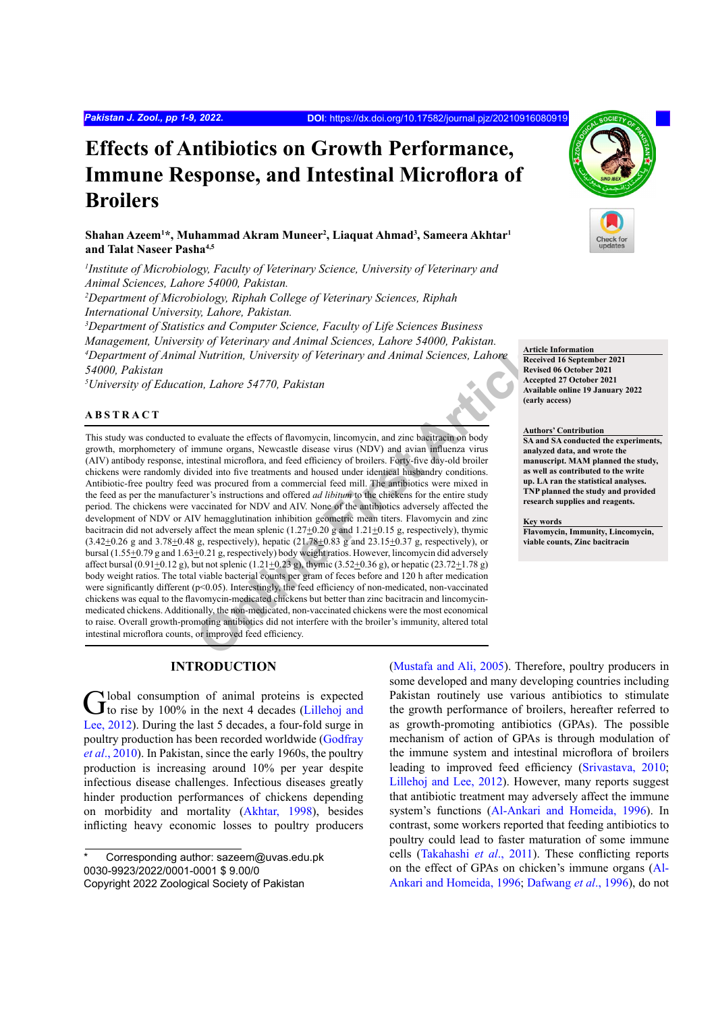# **Effects of Antibiotics on Growth Performance, Immune Response, and Intestinal Microflora of Broilers**

**Shahan Azeem1 \*, Muhammad Akram Muneer2 , Liaquat Ahmad3 , Sameera Akhtar1 and Talat Naseer Pasha4,5**

*1 Institute of Microbiology, Faculty of Veterinary Science, University of Veterinary and Animal Sciences, Lahore 54000, Pakistan.*

*2 Department of Microbiology, Riphah College of Veterinary Sciences, Riphah International University, Lahore, Pakistan.*

*3 Department of Statistics and Computer Science, Faculty of Life Sciences Business Management, University of Veterinary and Animal Sciences, Lahore 54000, Pakistan. 4 Department of Animal Nutrition, University of Veterinary and Animal Sciences, Lahore 54000, Pakistan*

*5 University of Education, Lahore 54770, Pakistan*

# **ABSTRACT**

**The Mathematic Science Constrained Control of the Science Constrained Constrained Constrained Constrained Science and Article Received Article<br>
<b>Online First Article** Received Article<br> **Online First Article** Received Arti This study was conducted to evaluate the effects of flavomycin, lincomycin, and zinc bacitracin on body growth, morphometery of immune organs, Newcastle disease virus (NDV) and avian influenza virus (AIV) antibody response, intestinal microflora, and feed efficiency of broilers. Forty-five day-old broiler chickens were randomly divided into five treatments and housed under identical husbandry conditions. Antibiotic-free poultry feed was procured from a commercial feed mill. The antibiotics were mixed in the feed as per the manufacturer's instructions and offered *ad libitum* to the chickens for the entire study period. The chickens were vaccinated for NDV and AIV. None of the antibiotics adversely affected the development of NDV or AIV hemagglutination inhibition geometric mean titers. Flavomycin and zinc bacitracin did not adversely affect the mean splenic  $(1.27\pm0.20$  g and  $1.21\pm0.15$  g, respectively), thymic  $(3.42\pm0.26 \text{ g and } 3.78\pm0.48 \text{ g, respectively})$ , hepatic  $(21.78\pm0.83 \text{ g and } 23.15\pm0.37 \text{ g, respectively})$ , or bursal (1.55+0.79 g and 1.63+0.21 g, respectively) body weight ratios. However, lincomycin did adversely affect bursal (0.91 $\pm$ 0.12 g), but not splenic (1.21 $\pm$ 0.23 g), thymic (3.52 $\pm$ 0.36 g), or hepatic (23.72 $\pm$ 1.78 g) body weight ratios. The total viable bacterial counts per gram of feces before and 120 h after medication were significantly different (p<0.05). Interestingly, the feed efficiency of non-medicated, non-vaccinated chickens was equal to the flavomycin-medicated chickens but better than zinc bacitracin and lincomycinmedicated chickens. Additionally, the non-medicated, non-vaccinated chickens were the most economical to raise. Overall growth-promoting antibiotics did not interfere with the broiler's immunity, altered total intestinal microflora counts, or improved feed efficiency.

# **INTRODUCTION**

Global consumption of animal proteins is expected to rise by 100% in the next 4 decades ([Lillehoj and](#page-7-0) [Lee, 2012\)](#page-7-0). During the last 5 decades, a four-fold surge in poultry production has been recorded worldwide ([Godfray](#page-6-0) *et al*[., 2010](#page-6-0)). In Pakistan, since the early 1960s, the poultry production is increasing around 10% per year despite infectious disease challenges. Infectious diseases greatly hinder production performances of chickens depending on morbidity and mortality ([Akhtar, 1998\)](#page-6-1), besides inflicting heavy economic losses to poultry producers

[\(Mustafa and Ali, 2005](#page-7-1)). Therefore, poultry producers in some developed and many developing countries including Pakistan routinely use various antibiotics to stimulate the growth performance of broilers, hereafter referred to as growth-promoting antibiotics (GPAs). The possible mechanism of action of GPAs is through modulation of the immune system and intestinal microflora of broilers leading to improved feed efficiency [\(Srivastava, 2010](#page-7-2); [Lillehoj and Lee, 2012\)](#page-7-0). However, many reports suggest that antibiotic treatment may adversely affect the immune system's functions [\(Al-Ankari and Homeida, 1996\)](#page-6-2). In contrast, some workers reported that feeding antibiotics to poultry could lead to faster maturation of some immune cells ([Takahashi](#page-7-3) *et al*., 2011). These conflicting reports on the effect of GPAs on chicken's immune organs [\(Al-](#page-6-2)[Ankari and Homeida, 1996](#page-6-2); [Dafwang](#page-6-3) *et al*., 1996), do not



**Article Information Received 16 September 2021 Revised 06 October 2021 Accepted 27 October 2021 Available online 19 January 2022 (early access)**

**Authors' Contribution SA and SA conducted the experiments, analyzed data, and wrote the manuscript. MAM planned the study, as well as contributed to the write up. LA ran the statistical analyses. TNP planned the study and provided research supplies and reagents.**

**Key words**

**Flavomycin, Immunity, Lincomycin, viable counts, Zinc bacitracin**

Corresponding author: sazeem@uvas.edu.pk 0030-9923/2022/0001-0001 \$ 9.00/0 Copyright 2022 Zoological Society of Pakistan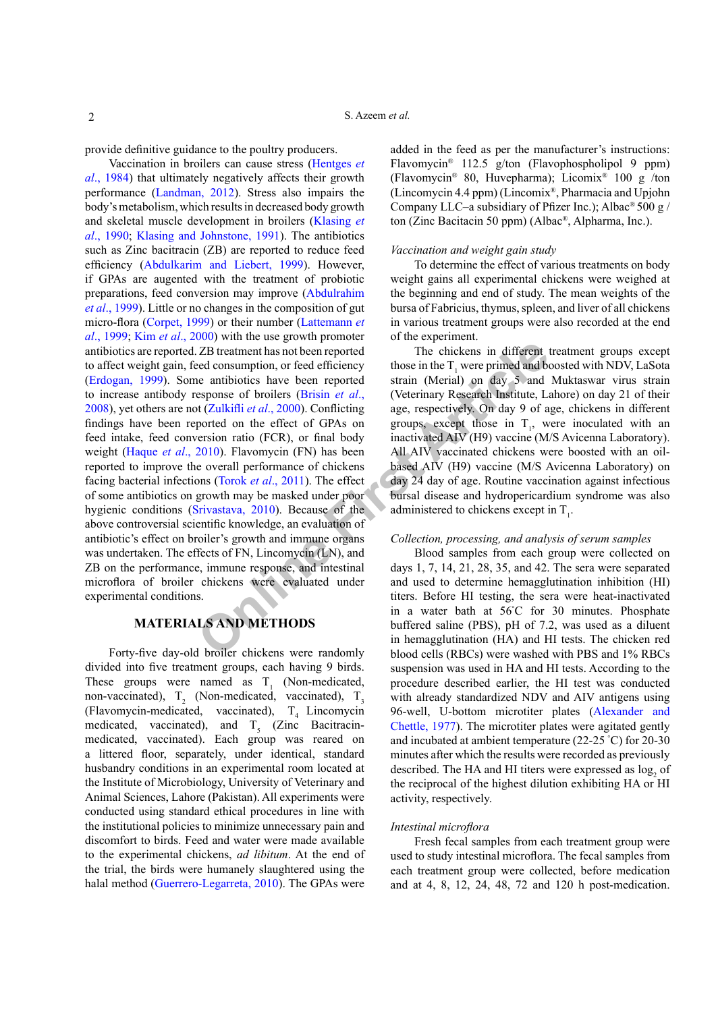provide definitive guidance to the poultry producers.

**The consumption** and solven reported and the response of broilers (Brisin et al., (Veterinary Research Institute, Latering the articliotics have been reported strain (Merial) on day 5 and esponse of broilers (Brisin *et* Vaccination in broilers can cause stress [\(Hentges](#page-6-4) *et al*[., 1984](#page-6-4)) that ultimately negatively affects their growth performance ([Landman, 2012\)](#page-7-4). Stress also impairs the body's metabolism, which results in decreased body growth and skeletal muscle development in broilers ([Klasing](#page-7-5) *et al*[., 1990](#page-7-5); [Klasing and Johnstone, 1991\)](#page-7-6). The antibiotics such as Zinc bacitracin (ZB) are reported to reduce feed efficiency ([Abdulkarim and Liebert, 1999](#page-6-5)). However, if GPAs are augented with the treatment of probiotic preparations, feed conversion may improve ([Abdulrahim](#page-6-6) *et al*[., 1999](#page-6-6)). Little or no changes in the composition of gut micro-flora ([Corpet, 1999\)](#page-6-7) or their number [\(Lattemann](#page-7-7) *et al*[., 1999](#page-7-7); Kim *et al*[., 2000\)](#page-7-8) with the use growth promoter antibiotics are reported. ZB treatment has not been reported to affect weight gain, feed consumption, or feed efficiency [\(Erdogan, 1999\)](#page-6-8). Some antibiotics have been reported to increase antibody response of broilers (Brisin *et al*., [2008\)](#page-6-9), yet others are not (Zulkifli *et al*., 2000). Conflicting findings have been reported on the effect of GPAs on feed intake, feed conversion ratio (FCR), or final body weight (Haque *et al*[., 2010\)](#page-6-10). Flavomycin (FN) has been reported to improve the overall performance of chickens facing bacterial infections (Torok *et al*., 2011). The effect of some antibiotics on growth may be masked under poor hygienic conditions (Srivastava, 2010). Because of the above controversial scientific knowledge, an evaluation of antibiotic's effect on broiler's growth and immune organs was undertaken. The effects of FN, Lincomycin (LN), and ZB on the performance, immune response, and intestinal microflora of broiler chickens were evaluated under experimental conditions.

# **MATERIALS AND METHODS**

Forty-five day-old broiler chickens were randomly divided into five treatment groups, each having 9 birds. These groups were named as  $T_1$  (Non-medicated, non-vaccinated),  $T_2$  (Non-medicated, vaccinated),  $T_3$ (Flavomycin-medicated, vaccinated),  $T<sub>4</sub>$  Lincomycin medicated, vaccinated), and  $T<sub>5</sub>$  (Zinc Bacitracinmedicated, vaccinated). Each group was reared on a littered floor, separately, under identical, standard husbandry conditions in an experimental room located at the Institute of Microbiology, University of Veterinary and Animal Sciences, Lahore (Pakistan). All experiments were conducted using standard ethical procedures in line with the institutional policies to minimize unnecessary pain and discomfort to birds. Feed and water were made available to the experimental chickens, *ad libitum*. At the end of the trial, the birds were humanely slaughtered using the halal method ([Guerrero-Legarreta, 2010\)](#page-6-11). The GPAs were

added in the feed as per the manufacturer's instructions: Flavomycin® 112.5 g/ton (Flavophospholipol 9 ppm) (Flavomycin® 80, Huvepharma); Licomix® 100 g /ton (Lincomycin 4.4 ppm) (Lincomix®, Pharmacia and Upjohn Company LLC–a subsidiary of Pfizer Inc.); Albac® 500 g / ton (Zinc Bacitacin 50 ppm) (Albac®, Alpharma, Inc.).

### *Vaccination and weight gain study*

To determine the effect of various treatments on body weight gains all experimental chickens were weighed at the beginning and end of study. The mean weights of the bursa of Fabricius, thymus, spleen, and liver of all chickens in various treatment groups were also recorded at the end of the experiment.

The chickens in different treatment groups except those in the  $T_1$  were primed and boosted with NDV, LaSota strain (Merial) on day 5 and Muktaswar virus strain (Veterinary Research Institute, Lahore) on day 21 of their age, respectively. On day 9 of age, chickens in different groups, except those in  $T_1$ , were inoculated with an inactivated AIV (H9) vaccine (M/S Avicenna Laboratory). All AIV vaccinated chickens were boosted with an oilbased AIV (H9) vaccine (M/S Avicenna Laboratory) on day 24 day of age. Routine vaccination against infectious bursal disease and hydropericardium syndrome was also administered to chickens except in  $T_1$ .

### *Collection, processing, and analysis of serum samples*

Blood samples from each group were collected on days 1, 7, 14, 21, 28, 35, and 42. The sera were separated and used to determine hemagglutination inhibition (HI) titers. Before HI testing, the sera were heat-inactivated in a water bath at 56° C for 30 minutes. Phosphate buffered saline (PBS), pH of 7.2, was used as a diluent in hemagglutination (HA) and HI tests. The chicken red blood cells (RBCs) were washed with PBS and 1% RBCs suspension was used in HA and HI tests. According to the procedure described earlier, the HI test was conducted with already standardized NDV and AIV antigens using 96-well, U-bottom microtiter plates [\(Alexander and](#page-6-12) [Chettle, 1977](#page-6-12)). The microtiter plates were agitated gently and incubated at ambient temperature (22-25 ° C) for 20-30 minutes after which the results were recorded as previously described. The HA and HI titers were expressed as  $log_2$  of the reciprocal of the highest dilution exhibiting HA or HI activity, respectively.

### *Intestinal microflora*

Fresh fecal samples from each treatment group were used to study intestinal microflora. The fecal samples from each treatment group were collected, before medication and at 4, 8, 12, 24, 48, 72 and 120 h post-medication.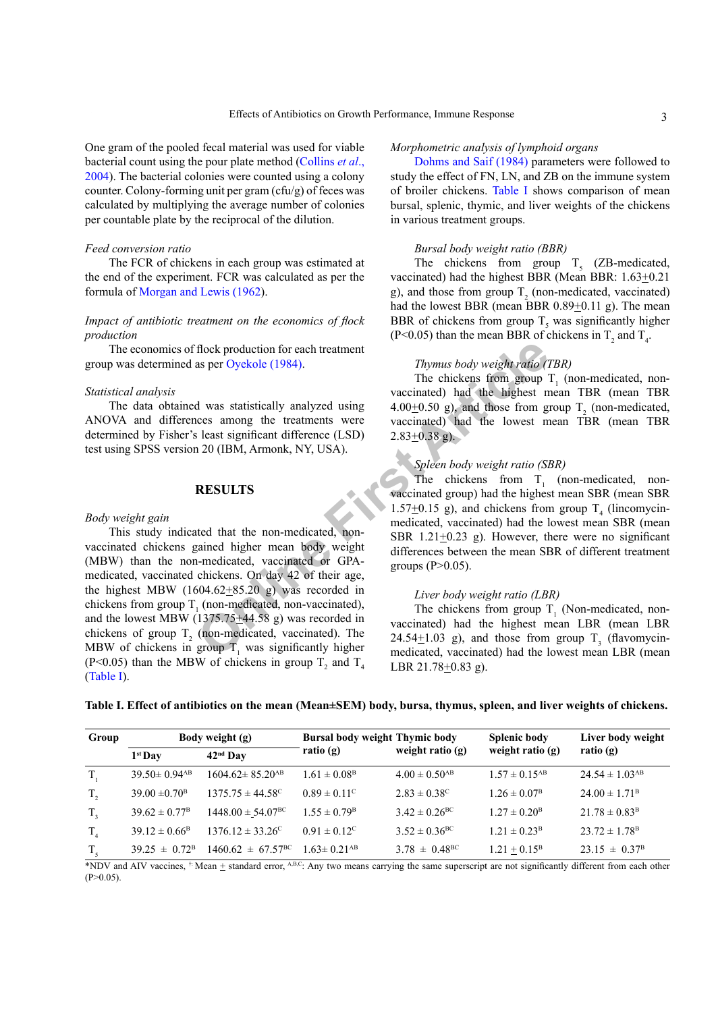One gram of the pooled fecal material was used for viable bacterial count using the pour plate method ([Collins](#page-6-13) *et al*., [2004\)](#page-6-13). The bacterial colonies were counted using a colony counter. Colony-forming unit per gram (cfu/g) of feces was calculated by multiplying the average number of colonies per countable plate by the reciprocal of the dilution.

### *Feed conversion ratio*

The FCR of chickens in each group was estimated at the end of the experiment. FCR was calculated as per the formula of [Morgan and Lewis \(1962\)](#page-7-10).

# *Impact of antibiotic treatment on the economics of flock production*

The economics of flock production for each treatment group was determined as per Oyekole (1984).

### *Statistical analysis*

The data obtained was statistically analyzed using ANOVA and differences among the treatments were determined by Fisher's least significant difference (LSD) test using SPSS version 20 (IBM, Armonk, NY, USA).

# **RESULTS**

### *Body weight gain*

Frock production for each treatment<br>
as per Oyekole (1984).<br>
The chickens from group<br>
The chickens from group<br>
vaccinated) had the highest m<br>
vaccinated) had the bighest<br>
least significant difference (LSD)<br>
2.83±0.38 g).<br> This study indicated that the non-medicated, nonvaccinated chickens gained higher mean body weight (MBW) than the non-medicated, vaccinated or GPAmedicated, vaccinated chickens. On day 42 of their age, the highest MBW  $(1604.62 \pm 85.20)$  g) was recorded in chickens from group  $T_1$  (non-medicated, non-vaccinated), and the lowest MBW (1375.75 $\pm$ 44.58 g) was recorded in chickens of group  $T_2$  (non-medicated, vaccinated). The MBW of chickens in group  $T_1$  was significantly higher (P<0.05) than the MBW of chickens in group  $T_2$  and  $T_4$ [\(Table I](#page-2-0)).

## *Morphometric analysis of lymphoid organs*

[Dohms and Saif \(1984\)](#page-6-14) parameters were followed to study the effect of FN, LN, and ZB on the immune system of broiler chickens. [Table I](#page-2-0) shows comparison of mean bursal, splenic, thymic, and liver weights of the chickens in various treatment groups.

### *Bursal body weight ratio (BBR)*

The chickens from group  $T<sub>5</sub>$  (ZB-medicated, vaccinated) had the highest BBR (Mean BBR: 1.63 $\pm$ 0.21 g), and those from group  $T_2$  (non-medicated, vaccinated) had the lowest BBR (mean BBR  $0.89 \pm 0.11$  g). The mean BBR of chickens from group  $T<sub>5</sub>$  was significantly higher (P<0.05) than the mean BBR of chickens in  $T_2$  and  $T_4$ .

### *Thymus body weight ratio (TBR)*

The chickens from group  $T_1$  (non-medicated, nonvaccinated) had the highest mean TBR (mean TBR  $4.00\pm0.50$  g), and those from group T<sub>2</sub> (non-medicated, vaccinated) had the lowest mean TBR (mean TBR  $2.83 \pm 0.38$  g).

# *Spleen body weight ratio (SBR)*

The chickens from  $T_1$  (non-medicated, nonvaccinated group) had the highest mean SBR (mean SBR 1.57 $\pm$ 0.15 g), and chickens from group T<sub>4</sub> (lincomycinmedicated, vaccinated) had the lowest mean SBR (mean SBR  $1.21+0.23$  g). However, there were no significant differences between the mean SBR of different treatment groups  $(P>0.05)$ .

### *Liver body weight ratio (LBR)*

The chickens from group  $T_1$  (Non-medicated, nonvaccinated) had the highest mean LBR (mean LBR 24.54 $\pm$ 1.03 g), and those from group T<sub>3</sub> (flavomycinmedicated, vaccinated) had the lowest mean LBR (mean LBR 21.78+0.83 g).

<span id="page-2-0"></span>

|  |  | Table I. Effect of antibiotics on the mean (Mean±SEM) body, bursa, thymus, spleen, and liver weights of chickens. |  |  |  |  |
|--|--|-------------------------------------------------------------------------------------------------------------------|--|--|--|--|
|  |  |                                                                                                                   |  |  |  |  |

| Group          |                                | Body weight (g)                   | <b>Bursal body weight Thymic body</b> |                               | <b>Splenic body</b>           | Liver body weight              |  |
|----------------|--------------------------------|-----------------------------------|---------------------------------------|-------------------------------|-------------------------------|--------------------------------|--|
|                | $1st$ Day                      | $42nd$ Dav                        | ratio $(g)$                           | weight ratio $(g)$            | weight ratio $(g)$            | ratio $(g)$                    |  |
| $T_{1}$        | $39.50 \pm 0.94$ <sup>AB</sup> | $1604.62 \pm 85.20$ <sup>AB</sup> | $1.61 \pm 0.08$ <sup>B</sup>          | $4.00 \pm 0.50$ <sup>AB</sup> | $1.57 \pm 0.15$ <sup>AB</sup> | $24.54 \pm 1.03$ <sup>AB</sup> |  |
| $T_{2}$        | $39.00 \pm 0.70^{\circ}$       | $1375.75 \pm 44.58^{\circ}$       | $0.89 \pm 0.11^{\circ}$               | $2.83 \pm 0.38^{\circ}$       | $1.26 \pm 0.07^{\rm B}$       | $24.00 \pm 1.71^{\rm B}$       |  |
| $T_{3}$        | $39.62 \pm 0.77^{\rm B}$       | $1448.00 \pm 54.07^{\rm BC}$      | $1.55 \pm 0.79^{\rm B}$               | $3.42 \pm 0.26^{\rm BC}$      | $1.27 \pm 0.20^{\rm B}$       | $21.78 \pm 0.83^{\rm B}$       |  |
| T <sub>4</sub> | $39.12 \pm 0.66^{\rm B}$       | $1376.12 \pm 33.26^{\circ}$       | $0.91 \pm 0.12^{\circ}$               | $3.52 \pm 0.36^{\rm BC}$      | $1.21 \pm 0.23^{\rm B}$       | $23.72 \pm 1.78$ <sup>B</sup>  |  |
| $T_{\zeta}$    | $39.25 \pm 0.72^{\rm B}$       | $1460.62 \pm 67.57^{\rm BC}$      | $1.63 \pm 0.21$ <sup>AB</sup>         | $3.78 \pm 0.48^{\rm BC}$      | $1.21 + 0.15^{\rm B}$         | $23.15 \pm 0.37^{\rm B}$       |  |

\*NDV and AIV vaccines,  $\dagger$  Mean  $\pm$  standard error, A,B,C: Any two means carrying the same superscript are not significantly different from each other  $(P>0.05)$ .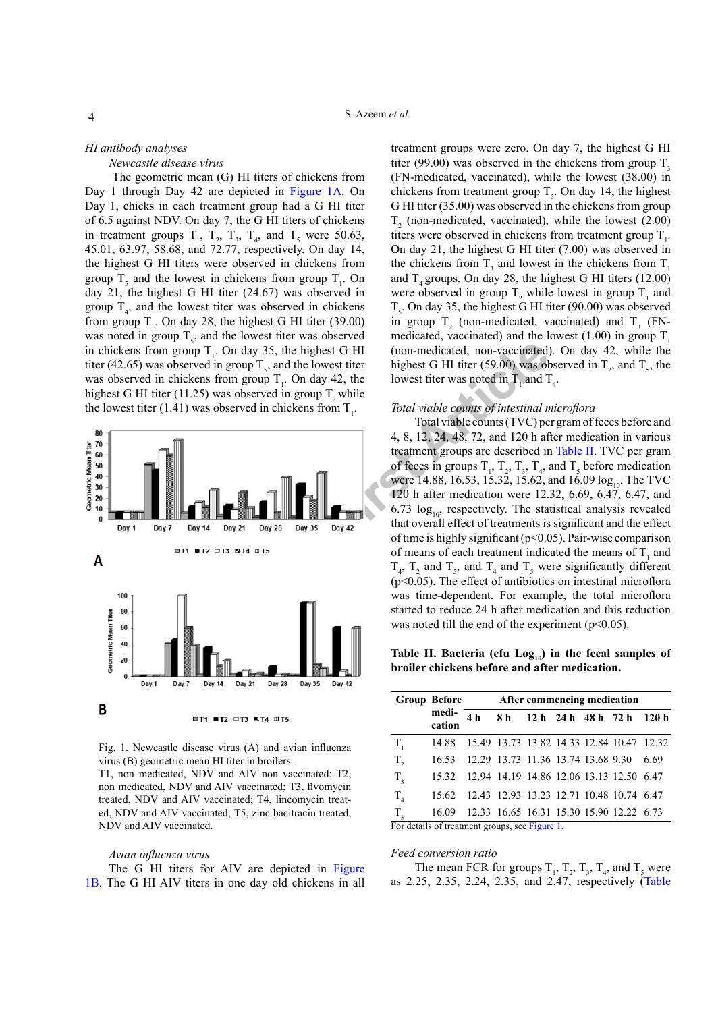# *HI antibody analyses*

*Newcastle disease virus*

 The geometric mean (G) HI titers of chickens from Day 1 through Day 42 are depicted in [Figure 1A](#page-3-0). On Day 1, chicks in each treatment group had a G HI titer of 6.5 against NDV. On day 7, the G HI titers of chickens in treatment groups  $T_1$ ,  $T_2$ ,  $T_3$ ,  $T_4$ , and  $T_5$  were 50.63, 45.01, 63.97, 58.68, and 72.77, respectively. On day 14, the highest G HI titers were observed in chickens from group  $T_5$  and the lowest in chickens from group  $T_1$ . On day 21, the highest G HI titer (24.67) was observed in group  $T_{4}$ , and the lowest titer was observed in chickens from group  $T_1$ . On day 28, the highest G HI titer (39.00) was noted in group  $T_s$ , and the lowest titer was observed in chickens from group  $T_1$ . On day 35, the highest G HI titer (42.65) was observed in group  $T_s$ , and the lowest titer was observed in chickens from group  $T_1$ . On day 42, the highest G HI titer (11.25) was observed in group  $T<sub>2</sub>$  while the lowest titer (1.41) was observed in chickens from  $T_1$ .



<span id="page-3-0"></span>Fig. 1. Newcastle disease virus (A) and avian influenza virus (B) geometric mean HI titer in broilers.

T1, non medicated, NDV and AIV non vaccinated; T2, non medicated, NDV and AIV vaccinated; T3, flvomycin treated, NDV and AIV vaccinated; T4, lincomycin treated, NDV and AIV vaccinated; T5, zinc bacitracin treated, NDV and AIV vaccinated.

#### *Avian influenza virus*

The G HI titers for AIV are depicted in [Figure](#page-3-0) [1B](#page-3-0). The G HI AIV titers in one day old chickens in all

treatment groups were zero. On day 7, the highest G HI titer (99.00) was observed in the chickens from group  $T<sub>3</sub>$ (FN-medicated, vaccinated), while the lowest (38.00) in chickens from treatment group  $T_s$ . On day 14, the highest G HI titer (35.00) was observed in the chickens from group  $T<sub>2</sub>$  (non-medicated, vaccinated), while the lowest (2.00) titers were observed in chickens from treatment group  $T_1$ . On day 21, the highest G HI titer (7.00) was observed in the chickens from  $T_3$  and lowest in the chickens from  $T_1$ and  $T<sub>4</sub>$  groups. On day 28, the highest G HI titers (12.00) were observed in group  $T_2$  while lowest in group  $T_1$  and  $T_s$ . On day 35, the highest G HI titer (90.00) was observed in group  $T_2$  (non-medicated, vaccinated) and  $T_3$  (FNmedicated, vaccinated) and the lowest  $(1.00)$  in group T. (non-medicated, non-vaccinated). On day 42, while the highest G HI titer (59.00) was observed in  $T_2$ , and  $T_5$ , the lowest titer was noted in  $T_1$  and  $T_4$ .

### *Total viable counts of intestinal microflora*

Total viable counts (TVC) per gram of feces before and 4, 8, 12, 24, 48, 72, and 120 h after medication in various treatment groups are described in [Table II.](#page-3-1) TVC per gram of feces in groups  $T_1$ ,  $T_2$ ,  $T_3$ ,  $T_4$ , and  $T_5$  before medication were 14.88, 16.53, 15.32, 15.62, and 16.09  $log_{10}$ . The TVC 120 h after medication were 12.32, 6.69, 6.47, 6.47, and 6.73  $log_{10}$ , respectively. The statistical analysis revealed that overall effect of treatments is significant and the effect of time is highly significant (p<0.05). Pair-wise comparison of means of each treatment indicated the means of  $T_1$  and  $T_4$ ,  $T_2$  and  $T_5$ , and  $T_4$  and  $T_5$  were significantly different (p<0.05). The effect of antibiotics on intestinal microflora was time-dependent. For example, the total microflora started to reduce 24 h after medication and this reduction was noted till the end of the experiment  $(p<0.05)$ .

<span id="page-3-1"></span>Table II. Bacteria (cfu Log<sub>10</sub>) in the fecal samples of **broiler chickens before and after medication.**

|                                                | <b>Group Before</b>                            | After commencing medication |  |  |  |  |                                           |  |
|------------------------------------------------|------------------------------------------------|-----------------------------|--|--|--|--|-------------------------------------------|--|
|                                                | medi-<br>cation                                | 4 <sub>h</sub>              |  |  |  |  | 8 h 12 h 24 h 48 h 72 h 120 h             |  |
| $T_{1}$                                        | 14.88                                          |                             |  |  |  |  | 15.49 13.73 13.82 14.33 12.84 10.47 12.32 |  |
| $T_{2}$                                        | 16.53                                          |                             |  |  |  |  | 12.29 13.73 11.36 13.74 13.68 9.30 6.69   |  |
| $T_{3}$                                        | 15.32 12.94 14.19 14.86 12.06 13.13 12.50 6.47 |                             |  |  |  |  |                                           |  |
| $T_{4}$                                        | 15.62 12.43 12.93 13.23 12.71 10.48 10.74 6.47 |                             |  |  |  |  |                                           |  |
| T <sub>5</sub>                                 | 16.09                                          |                             |  |  |  |  | 12.33 16.65 16.31 15.30 15.90 12.22 6.73  |  |
| For details of treatment groups, see Figure 1. |                                                |                             |  |  |  |  |                                           |  |

#### *Feed conversion ratio*

The mean FCR for groups  $T_1$ ,  $T_2$ ,  $T_3$ ,  $T_4$ , and  $T_5$  were as 2.25, 2.35, 2.24, 2.35, and 2.47, respectively ([Table](#page-4-0)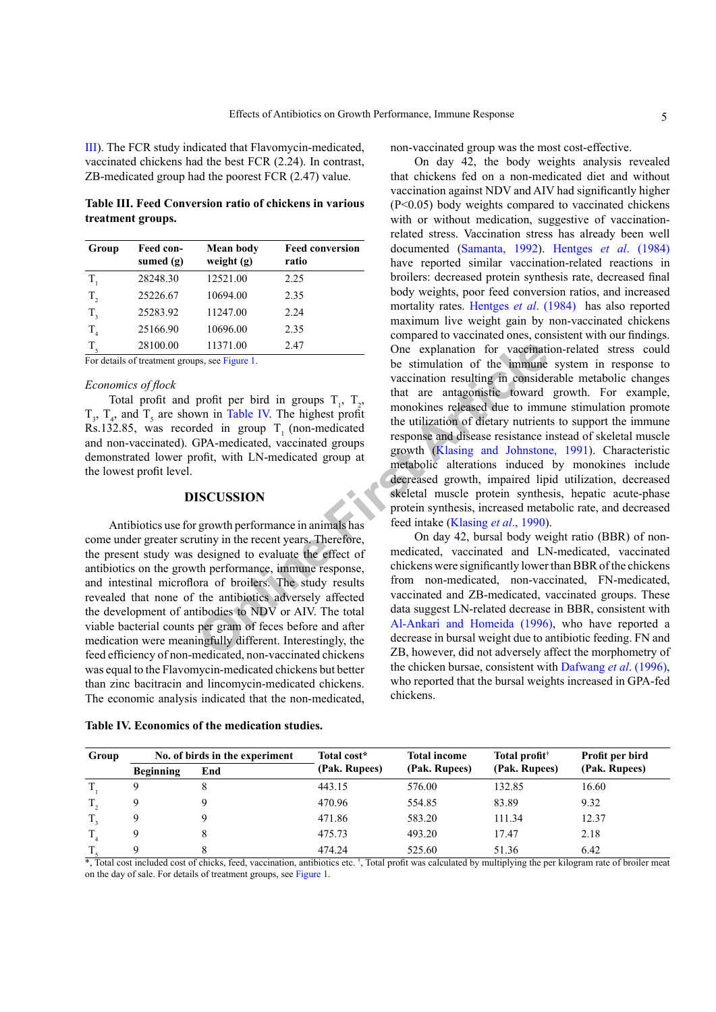[III\)](#page-4-0). The FCR study indicated that Flavomycin-medicated, vaccinated chickens had the best FCR (2.24). In contrast, ZB-medicated group had the poorest FCR (2.47) value.

<span id="page-4-0"></span>**Table III. Feed Conversion ratio of chickens in various treatment groups.**

| Group          | Feed con-<br>sumed $(g)$ | <b>Mean body</b><br>weight $(g)$ | <b>Feed conversion</b><br>ratio |
|----------------|--------------------------|----------------------------------|---------------------------------|
| $T_{1}$        | 28248.30                 | 12521.00                         | 2.25                            |
| $T_{2}$        | 25226.67                 | 10694.00                         | 2.35                            |
| $T_{3}$        | 25283.92                 | 11247.00                         | 2.24                            |
| T <sub>4</sub> | 25166.90                 | 10696.00                         | 2.35                            |
| $T_{\rm s}$    | 28100.00                 | 11371.00                         | 2.47                            |

For details of treatment groups, see Figure 1.

# *Economics of flock*

Total profit and profit per bird in groups  $T_1$ ,  $T_2$ ,  $T_3$ ,  $T_4$ , and  $T_5$  are shown in Table IV. The highest profit Rs.132.85, was recorded in group  $T_1$  (non-medicated and non-vaccinated). GPA-medicated, vaccinated groups demonstrated lower profit, with LN-medicated group at the lowest profit level.

# **DISCUSSION**

Antibiotics use for growth performance in animals has come under greater scrutiny in the recent years. Therefore, the present study was designed to evaluate the effect of antibiotics on the growth performance, immune response, and intestinal microflora of broilers. The study results revealed that none of the antibiotics adversely affected the development of antibodies to NDV or AIV. The total viable bacterial counts per gram of feces before and after medication were meaningfully different. Interestingly, the feed efficiency of non-medicated, non-vaccinated chickens was equal to the Flavomycin-medicated chickens but better than zinc bacitracin and lincomycin-medicated chickens. The economic analysis indicated that the non-medicated,

<span id="page-4-1"></span>**Table IV. Economics of the medication studies.**

non-vaccinated group was the most cost-effective.

11371.00 2.47 **Consequent Consequent Consequent** Space Figure 1.<br>
Space Figure 1.<br>
Done explanation of the immune<br>
profit per bird in groups T<sub>1</sub>, T<sub>2</sub>, that are antagonistic toward<br>
ded in group T<sub>1</sub> (non-medicated monoki On day 42, the body weights analysis revealed that chickens fed on a non-medicated diet and without vaccination against NDV and AIV had significantly higher (P<0.05) body weights compared to vaccinated chickens with or without medication, suggestive of vaccinationrelated stress. Vaccination stress has already been well documented ([Samanta, 1992](#page-7-12)). Hentges *et al*[. \(1984\)](#page-6-4) have reported similar vaccination-related reactions in broilers: decreased protein synthesis rate, decreased final body weights, poor feed conversion ratios, and increased mortality rates. Hentges *et al*[. \(1984\)](#page-6-4) has also reported maximum live weight gain by non-vaccinated chickens compared to vaccinated ones, consistent with our findings. One explanation for vaccination-related stress could be stimulation of the immune system in response to vaccination resulting in considerable metabolic changes that are antagonistic toward growth. For example, monokines released due to immune stimulation promote the utilization of dietary nutrients to support the immune response and disease resistance instead of skeletal muscle growth ([Klasing and Johnstone, 1991\)](#page-7-6). Characteristic metabolic alterations induced by monokines include decreased growth, impaired lipid utilization, decreased skeletal muscle protein synthesis, hepatic acute-phase protein synthesis, increased metabolic rate, and decreased feed intake (Klasing *et al*., 1990).

On day 42, bursal body weight ratio (BBR) of nonmedicated, vaccinated and LN-medicated, vaccinated chickens were significantly lower than BBR of the chickens from non-medicated, non-vaccinated, FN-medicated, vaccinated and ZB-medicated, vaccinated groups. These data suggest LN-related decrease in BBR, consistent with Al-Ankari and Homeida (1996), who have reported a decrease in bursal weight due to antibiotic feeding. FN and ZB, however, did not adversely affect the morphometry of the chicken bursae, consistent with [Dafwang](#page-6-3) *et al*. (1996), who reported that the bursal weights increased in GPA-fed chickens.

| Group       | No. of birds in the experiment |                                                                                                                                                                | Total cost*   | <b>Total income</b> | Total profit <sup>†</sup> | Profit per bird |
|-------------|--------------------------------|----------------------------------------------------------------------------------------------------------------------------------------------------------------|---------------|---------------------|---------------------------|-----------------|
|             | <b>Beginning</b>               | End                                                                                                                                                            | (Pak. Rupees) | (Pak. Rupees)       | (Pak. Rupees)             | (Pak. Rupees)   |
|             |                                | 8                                                                                                                                                              | 443.15        | 576.00              | 132.85                    | 16.60           |
| $T_{\rm o}$ | 9                              |                                                                                                                                                                | 470.96        | 554.85              | 83.89                     | 9.32            |
| T,          | 9                              |                                                                                                                                                                | 471.86        | 583.20              | 111.34                    | 12.37           |
| $T_{\rm A}$ | 9                              |                                                                                                                                                                | 475.73        | 493.20              | 17.47                     | 2.18            |
|             | Q                              |                                                                                                                                                                | 474.24        | 525.60              | 51.36                     | 6.42            |
|             |                                | *, Total cost included cost of chicks, feed, vaccination, antibiotics etc. †, Total profit was calculated by multiplying the per kilogram rate of broiler meat |               |                     |                           |                 |

on the day of sale. For details of treatment groups, see [Figure 1.](#page-3-0)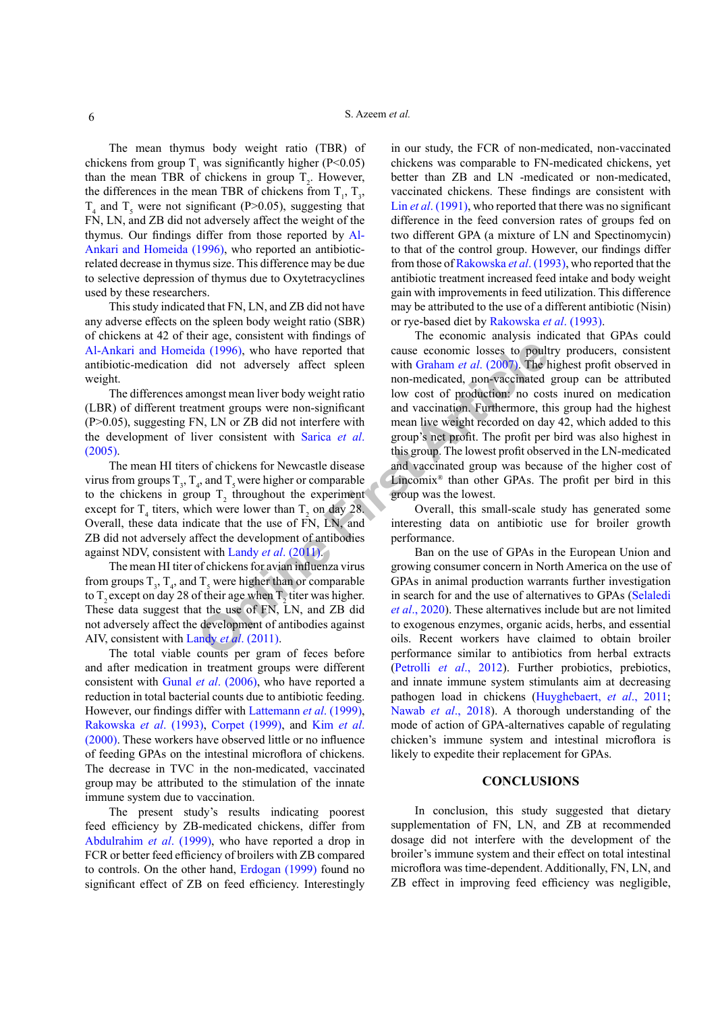The mean thymus body weight ratio (TBR) of chickens from group  $T_1$  was significantly higher (P<0.05) than the mean TBR of chickens in group  $T_2$ . However, the differences in the mean TBR of chickens from  $T_1$ ,  $T_3$ ,  $T_4$  and  $T_5$  were not significant (P>0.05), suggesting that FN, LN, and ZB did not adversely affect the weight of the thymus. Our findings differ from those reported by [Al-](#page-6-2)[Ankari and Homeida \(1996\)](#page-6-2), who reported an antibioticrelated decrease in thymus size. This difference may be due to selective depression of thymus due to Oxytetracyclines used by these researchers.

This study indicated that FN, LN, and ZB did not have any adverse effects on the spleen body weight ratio (SBR) of chickens at 42 of their age, consistent with findings of [Al-Ankari and Homeida \(1996\)](#page-6-2), who have reported that antibiotic-medication did not adversely affect spleen weight.

The differences amongst mean liver body weight ratio (LBR) of different treatment groups were non-significant (P>0.05), suggesting FN, LN or ZB did not interfere with the development of liver consistent with Sarica *et al*. [\(2005\)](#page-7-13).

The mean HI titers of chickens for Newcastle disease virus from groups  $T_3$ ,  $T_4$ , and  $T_5$  were higher or comparable to the chickens in group  $T_2$  throughout the experiment except for  $T_4$  titers, which were lower than  $T_2$  on day 28. Overall, these data indicate that the use of FN, LN, and ZB did not adversely affect the development of antibodies against NDV, consistent with Landy *et al*. (2011).

The mean HI titer of chickens for avian influenza virus from groups  $T_3$ ,  $T_4$ , and  $T_5$  were higher than or comparable to  $T_2$  except on day 28 of their age when  $T_2$  titer was higher. These data suggest that the use of FN, LN, and ZB did not adversely affect the development of antibodies against AIV, consistent with Landy *et al*. (2011).

The total viable counts per gram of feces before and after medication in treatment groups were different consistent with Gunal *et al*[. \(2006\),](#page-6-15) who have reported a reduction in total bacterial counts due to antibiotic feeding. However, our findings differ with [Lattemann](#page-7-7) *et al*. (1999), [Rakowska](#page-7-15) *et al*. (1993), [Corpet \(1999\)](#page-6-7), and [Kim](#page-7-8) *et al*. [\(2000\)](#page-7-8). These workers have observed little or no influence of feeding GPAs on the intestinal microflora of chickens. The decrease in TVC in the non-medicated, vaccinated group may be attributed to the stimulation of the innate immune system due to vaccination.

The present study's results indicating poorest feed efficiency by ZB-medicated chickens, differ from [Abdulrahim](#page-6-6) *et al*. (1999), who have reported a drop in FCR or better feed efficiency of broilers with ZB compared to controls. On the other hand, [Erdogan \(1999\)](#page-6-8) found no significant effect of ZB on feed efficiency. Interestingly

in our study, the FCR of non-medicated, non-vaccinated chickens was comparable to FN-medicated chickens, yet better than ZB and LN -medicated or non-medicated, vaccinated chickens. These findings are consistent with Lin *et al.* (1991), who reported that there was no significant difference in the feed conversion rates of groups fed on two different GPA (a mixture of LN and Spectinomycin) to that of the control group. However, our findings differ from those of [Rakowska](#page-7-15) *et al*. (1993), who reported that the antibiotic treatment increased feed intake and body weight gain with improvements in feed utilization. This difference may be attributed to the use of a different antibiotic (Nisin) or rye-based diet by [Rakowska](#page-7-15) *et al*. (1993).

**C C EXECUTE: EXECUTE: EXECUTE: EXECUTE: EXECUTE: EXECUTE: EXECUTE: EXECUTE: EXECUTE: EXECUTE: EXECUTE: EXECUTE: EXECUTE: EXECUTE: EXECUTE: EXECUTE: EXECUTE: EXECUTE: EXECUTE: EXE** The economic analysis indicated that GPAs could cause economic losses to poultry producers, consistent with Graham *et al*. (2007). The highest profit observed in non-medicated, non-vaccinated group can be attributed low cost of production: no costs inured on medication and vaccination. Furthermore, this group had the highest mean live weight recorded on day 42, which added to this group's net profit. The profit per bird was also highest in this group. The lowest profit observed in the LN-medicated and vaccinated group was because of the higher cost of Lincomix® than other GPAs. The profit per bird in this group was the lowest.

Overall, this small-scale study has generated some interesting data on antibiotic use for broiler growth performance.

Ban on the use of GPAs in the European Union and growing consumer concern in North America on the use of GPAs in animal production warrants further investigation in search for and the use of alternatives to GPAs ([Selaledi](#page-7-17)  *et al*., 2020). These alternatives include but are not limited to exogenous enzymes, organic acids, herbs, and essential oils. Recent workers have claimed to obtain broiler performance similar to antibiotics from herbal extracts [\(Petrolli](#page-7-18) *et al*., 2012). Further probiotics, prebiotics, and innate immune system stimulants aim at decreasing pathogen load in chickens ([Huyghebaert,](#page-7-19) *et al*., 2011; [Nawab](#page-7-20) *et al*., 2018). A thorough understanding of the mode of action of GPA-alternatives capable of regulating chicken's immune system and intestinal microflora is likely to expedite their replacement for GPAs.

## **CONCLUSIONS**

In conclusion, this study suggested that dietary supplementation of FN, LN, and ZB at recommended dosage did not interfere with the development of the broiler's immune system and their effect on total intestinal microflora was time-dependent. Additionally, FN, LN, and ZB effect in improving feed efficiency was negligible,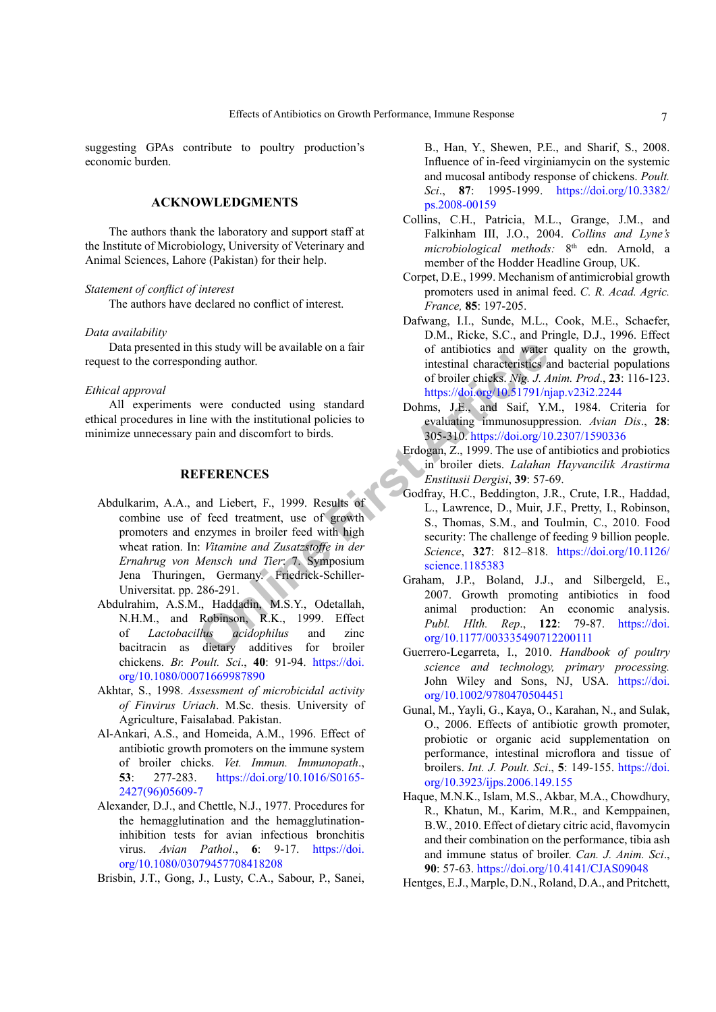suggesting GPAs contribute to poultry production's economic burden.

# **ACKNOWLEDGMENTS**

The authors thank the laboratory and support staff at the Institute of Microbiology, University of Veterinary and Animal Sciences, Lahore (Pakistan) for their help.

# *Statement of conflict of interest*

The authors have declared no conflict of interest.

### *Data availability*

Data presented in this study will be available on a fair request to the corresponding author.

### *Ethical approval*

All experiments were conducted using standard ethical procedures in line with the institutional policies to minimize unnecessary pain and discomfort to birds.

### <span id="page-6-5"></span>**REFERENCES**

- this study will be available on a fair<br>
of antibiotics and water<br>
intestinal characteristics as<br>
of broiler chicks. Mg. J. A<br>
were conducted using standard<br>
bothms. J.E. and Saif, Y.1<br>
ne with the institutional policies to Abdulkarim, A.A., and Liebert, F., 1999. Results of combine use of feed treatment, use of growth promoters and enzymes in broiler feed with high wheat ration. In: *Vitamine and Zusatzstoffe in der Ernahrug von Mensch und Tier*: 7. Symposium Jena Thuringen, Germany. Friedrick-Schiller-Universitat. pp. 286-291.
- <span id="page-6-6"></span>Abdulrahim, A.S.M., Haddadin, M.S.Y., Odetallah, N.H.M., and Robinson, R.K., 1999. Effect of *Lactobacillus acidophilus* and zinc bacitracin as dietary additives for broiler chickens. *Br. Poult. Sci*., **40**: 91-94. [https://doi.](https://doi.org/10.1080/00071669987890) [org/10.1080/00071669987890](https://doi.org/10.1080/00071669987890)
- <span id="page-6-1"></span>Akhtar, S., 1998. *Assessment of microbicidal activity of Finvirus Uriach*. M.Sc. thesis. University of Agriculture, Faisalabad. Pakistan.
- <span id="page-6-2"></span>Al-Ankari, A.S., and Homeida, A.M., 1996. Effect of antibiotic growth promoters on the immune system of broiler chicks. *Vet. Immun. Immunopath*., **53**: 277-283. [https://doi.org/10.1016/S0165-](https://doi.org/10.1016/S0165-2427(96)05609-7) [2427\(96\)05609-7](https://doi.org/10.1016/S0165-2427(96)05609-7)
- <span id="page-6-12"></span>Alexander, D.J., and Chettle, N.J., 1977. Procedures for the hemagglutination and the hemagglutinationinhibition tests for avian infectious bronchitis virus. *Avian Pathol*., **6**: 9-17. [https://doi.](https://doi.org/10.1080/03079457708418208) [org/10.1080/03079457708418208](https://doi.org/10.1080/03079457708418208)

<span id="page-6-9"></span>Brisbin, J.T., Gong, J., Lusty, C.A., Sabour, P., Sanei,

B., Han, Y., Shewen, P.E., and Sharif, S., 2008. Influence of in-feed virginiamycin on the systemic and mucosal antibody response of chickens. *Poult. Sci*., **87**: 1995-1999. [https://doi.org/10.3382/](https://doi.org/10.3382/ps.2008-00159) [ps.2008-00159](https://doi.org/10.3382/ps.2008-00159)

- <span id="page-6-13"></span>Collins, C.H., Patricia, M.L., Grange, J.M., and Falkinham III, J.O., 2004. *Collins and Lyne's microbiological methods:* 8th edn. Arnold, a member of the Hodder Headline Group, UK.
- <span id="page-6-7"></span>Corpet, D.E., 1999. Mechanism of antimicrobial growth promoters used in animal feed. *C. R. Acad. Agric. France,* **85**: 197-205.
- <span id="page-6-3"></span>Dafwang, I.I., Sunde, M.L., Cook, M.E., Schaefer, D.M., Ricke, S.C., and Pringle, D.J., 1996. Effect of antibiotics and water quality on the growth, intestinal characteristics and bacterial populations of broiler chicks. *Nig. J. Anim. Prod*., **23**: 116-123. <https://doi.org/10.51791/njap.v23i2.2244>
- <span id="page-6-14"></span>Dohms, J.E., and Saif, Y.M., 1984. Criteria for evaluating immunosuppression. *Avian Dis*., **28**: 305-310.<https://doi.org/10.2307/1590336>
- <span id="page-6-8"></span>Erdogan, Z., 1999. The use of antibiotics and probiotics in broiler diets. *Lalahan Hayvancilik Arastirma Enstitusii Dergisi*, **39**: 57-69.
- <span id="page-6-0"></span>Godfray, H.C., Beddington, J.R., Crute, I.R., Haddad, L., Lawrence, D., Muir, J.F., Pretty, I., Robinson, S., Thomas, S.M., and Toulmin, C., 2010. Food security: The challenge of feeding 9 billion people. *Science*, **327**: 812–818. [https://doi.org/10.1126/](https://doi.org/10.1126/science.1185383) science.1185383
- <span id="page-6-16"></span>Graham, J.P., Boland, J.J., and Silbergeld, E., 2007. Growth promoting antibiotics in food animal production: An economic analysis. *Publ. Hlth. Rep*., **122**: 79-87. [https://doi.](https://doi.org/10.1177/003335490712200111) [org/10.1177/003335490712200111](https://doi.org/10.1177/003335490712200111)
- <span id="page-6-11"></span>Guerrero-Legarreta, I., 2010. *Handbook of poultry science and technology, primary processing.* John Wiley and Sons, NJ, USA, [https://doi.](https://doi.org/10.1002/9780470504451) [org/10.1002/9780470504451](https://doi.org/10.1002/9780470504451)
- <span id="page-6-15"></span>Gunal, M., Yayli, G., Kaya, O., Karahan, N., and Sulak, O., 2006. Effects of antibiotic growth promoter, probiotic or organic acid supplementation on performance, intestinal microflora and tissue of broilers. *Int. J. Poult. Sci*., **5**: 149-155. [https://doi.](https://doi.org/10.3923/ijps.2006.149.155) [org/10.3923/ijps.2006.149.155](https://doi.org/10.3923/ijps.2006.149.155)
- <span id="page-6-10"></span>Haque, M.N.K., Islam, M.S., Akbar, M.A., Chowdhury, R., Khatun, M., Karim, M.R., and Kemppainen, B.W., 2010. Effect of dietary citric acid, flavomycin and their combination on the performance, tibia ash and immune status of broiler. *Can. J. Anim. Sci*., **90**: 57-63. <https://doi.org/10.4141/CJAS09048>
- <span id="page-6-4"></span>Hentges, E.J., Marple, D.N., Roland, D.A., and Pritchett,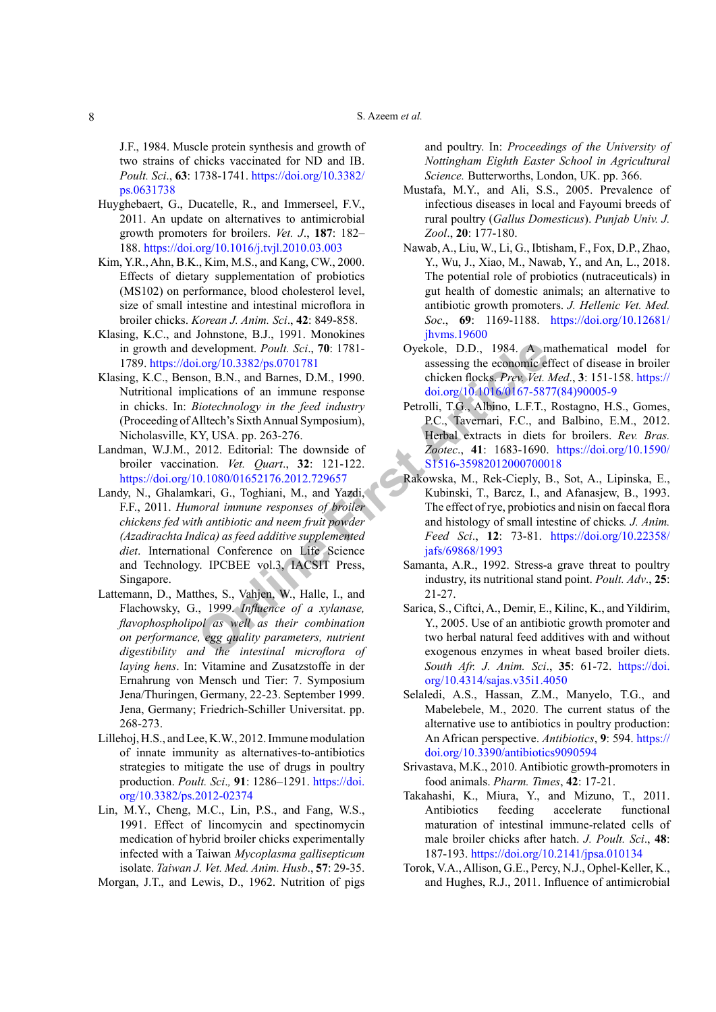J.F., 1984. Muscle protein synthesis and growth of two strains of chicks vaccinated for ND and IB. *Poult. Sci*., **63**: 1738-1741. [https://doi.org/10.3382/](https://doi.org/10.3382/ps.0631738) [ps.0631738](https://doi.org/10.3382/ps.0631738)

- <span id="page-7-19"></span>Huyghebaert, G., Ducatelle, R., and Immerseel, F.V., 2011. An update on alternatives to antimicrobial growth promoters for broilers. *Vet. J*., **187**: 182– 188. <https://doi.org/10.1016/j.tvjl.2010.03.003>
- <span id="page-7-8"></span>Kim, Y.R., Ahn, B.K., Kim, M.S., and Kang, CW., 2000. Effects of dietary supplementation of probiotics (MS102) on performance, blood cholesterol level, size of small intestine and intestinal microflora in broiler chicks. *Korean J. Anim. Sci*., **42**: 849-858.
- <span id="page-7-6"></span>Klasing, K.C., and Johnstone, B.J., 1991. Monokines in growth and development. *Poult. Sci*., **70**: 1781- 1789. https://doi.org/10.3382/ps.0701781
- <span id="page-7-5"></span>Klasing, K.C., Benson, B.N., and Barnes, D.M., 1990. Nutritional implications of an immune response in chicks. In: *Biotechnology in the feed industry*  (Proceeding of Alltech's Sixth Annual Symposium), Nicholasville, KY, USA. pp. 263-276.
- <span id="page-7-14"></span><span id="page-7-4"></span>Landman, W.J.M., 2012. Editorial: The downside of broiler vaccination. *Vet. Quart*., **32**: 121-122. <https://doi.org/10.1080/01652176.2012.729657>
- Example and Barnet Routh Sci., 70: 1781-<br>
Oyekole, D.D., 1984. A m<br>
Increase on B.N., and Barnes, D.M., 1990.<br>
Chicken flocks *Prev. Vet. i*.<br>
Dictations of an immune response to doi.org/10.101.60167-587<br>
Dictachnology in Landy, N., Ghalamkari, G., Toghiani, M., and Yazdi, F.F., 2011. *Humoral immune responses of broiler chickens fed with antibiotic and neem fruit powder (Azadirachta Indica) as feed additive supplemented diet*. International Conference on Life Science and Technology. IPCBEE vol.3, IACSIT Press, Singapore.
- <span id="page-7-7"></span>Lattemann, D., Matthes, S., Vahjen, W., Halle, I., and Flachowsky, G., 1999. *Influence of a xylanase, flavophospholipol as well as their combination on performance, egg quality parameters, nutrient digestibility and the intestinal microflora of laying hens*. In: Vitamine and Zusatzstoffe in der Ernahrung von Mensch und Tier: 7. Symposium Jena/Thuringen, Germany, 22-23. September 1999. Jena, Germany; Friedrich-Schiller Universitat. pp. 268-273.
- <span id="page-7-0"></span>Lillehoj, H.S., and Lee, K.W., 2012. Immune modulation of innate immunity as alternatives-to-antibiotics strategies to mitigate the use of drugs in poultry production. *Poult. Sci*.*,* **91**: 1286–1291. [https://doi.](https://doi.org/10.3382/ps.2012-02374) [org/10.3382/ps.2012-02374](https://doi.org/10.3382/ps.2012-02374)
- <span id="page-7-16"></span>Lin, M.Y., Cheng, M.C., Lin, P.S., and Fang, W.S., 1991. Effect of lincomycin and spectinomycin medication of hybrid broiler chicks experimentally infected with a Taiwan *Mycoplasma gallisepticum* isolate. *Taiwan J. Vet. Med. Anim. Husb*., **57**: 29-35.
- <span id="page-7-10"></span>Morgan, J.T., and Lewis, D., 1962. Nutrition of pigs

and poultry. In: *Proceedings of the University of Nottingham Eighth Easter School in Agricultural Science.* Butterworths, London, UK. pp. 366.

- <span id="page-7-1"></span>Mustafa, M.Y., and Ali, S.S., 2005. Prevalence of infectious diseases in local and Fayoumi breeds of rural poultry (*Gallus Domesticus*). *Punjab Univ. J. Zool*., **20**: 177-180.
- <span id="page-7-20"></span>Nawab, A., Liu, W., Li, G., Ibtisham, F., Fox, D.P., Zhao, Y., Wu, J., Xiao, M., Nawab, Y., and An, L., 2018. The potential role of probiotics (nutraceuticals) in gut health of domestic animals; an alternative to antibiotic growth promoters. *J. Hellenic Vet. Med. Soc*., **69**: 1169-1188. [https://doi.org/10.12681/](https://doi.org/10.12681/jhvms.19600) [jhvms.19600](https://doi.org/10.12681/jhvms.19600)
- <span id="page-7-11"></span>Oyekole, D.D., 1984. A mathematical model for assessing the economic effect of disease in broiler chicken flocks. *Prev. Vet. Med*., **3**: 151-158. [https://](https://doi.org/10.1016/0167-5877(84)90005-9) [doi.org/10.1016/0167-5877\(84\)90005-9](https://doi.org/10.1016/0167-5877(84)90005-9)
- <span id="page-7-18"></span>Petrolli, T.G., Albino, L.F.T., Rostagno, H.S., Gomes, P.C., Tavernari, F.C., and Balbino, E.M., 2012. Herbal extracts in diets for broilers. *Rev. Bras. Zootec*., **41**: 1683-1690. [https://doi.org/10.1590/](https://doi.org/10.1590/S1516-35982012000700018) S1516-35982012000700018
- <span id="page-7-15"></span>Rakowska, M., Rek-Cieply, B., Sot, A., Lipinska, E., Kubinski, T., Barcz, I., and Afanasjew, B., 1993. The effect of rye, probiotics and nisin on faecal flora and histology of small intestine of chicks*. J. Anim. Feed Sci*., **12**: 73-81. [https://doi.org/10.22358/](https://doi.org/10.22358/jafs/69868/1993) jafs/69868/1993
- <span id="page-7-12"></span>Samanta, A.R., 1992. Stress-a grave threat to poultry industry, its nutritional stand point. *Poult. Adv*., **25**: 21-27.
- <span id="page-7-13"></span>Sarica, S., Ciftci, A., Demir, E., Kilinc, K., and Yildirim, Y., 2005. Use of an antibiotic growth promoter and two herbal natural feed additives with and without exogenous enzymes in wheat based broiler diets. *South Afr. J. Anim. Sci*., **35**: 61-72. [https://doi.](https://doi.org/10.4314/sajas.v35i1.4050) [org/10.4314/sajas.v35i1.4050](https://doi.org/10.4314/sajas.v35i1.4050)
- <span id="page-7-17"></span>Selaledi, A.S., Hassan, Z.M., Manyelo, T.G., and Mabelebele, M., 2020. The current status of the alternative use to antibiotics in poultry production: An African perspective. *Antibiotics*, **9**: 594. [https://](https://doi.org/10.3390/antibiotics9090594) [doi.org/10.3390/antibiotics9090594](https://doi.org/10.3390/antibiotics9090594)
- <span id="page-7-2"></span>Srivastava, M.K., 2010. Antibiotic growth-promoters in food animals. *Pharm. Times*, **42**: 17-21.
- <span id="page-7-3"></span>Takahashi, K., Miura, Y., and Mizuno, T., 2011. Antibiotics feeding accelerate functional maturation of intestinal immune-related cells of male broiler chicks after hatch. *J. Poult. Sci*., **48**: 187-193. <https://doi.org/10.2141/jpsa.010134>
- <span id="page-7-9"></span>Torok, V.A., Allison, G.E., Percy, N.J., Ophel-Keller, K., and Hughes, R.J., 2011. Influence of antimicrobial